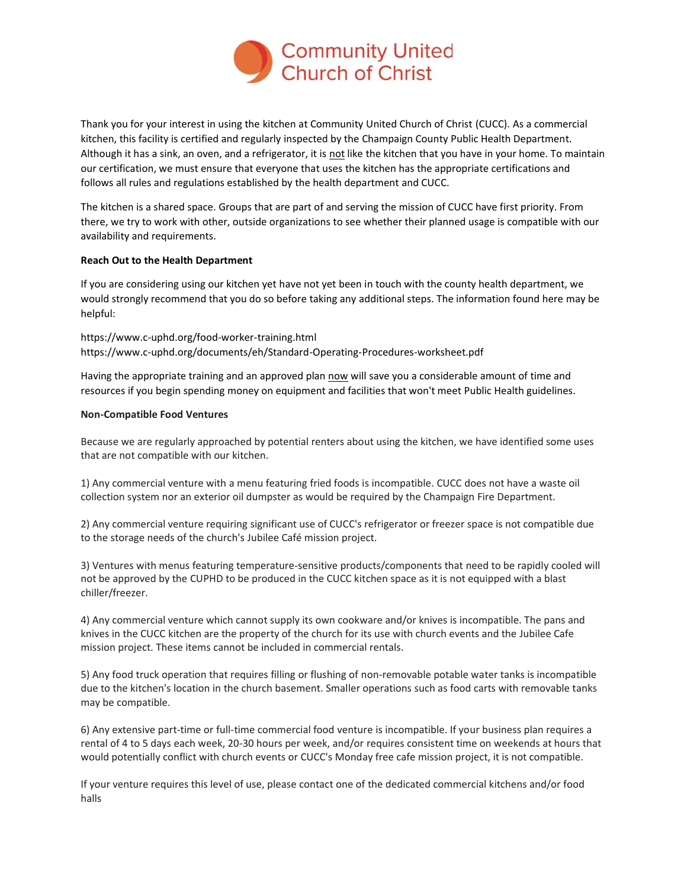

Thank you for your interest in using the kitchen at Community United Church of Christ (CUCC). As a commercial kitchen, this facility is certified and regularly inspected by the Champaign County Public Health Department. Although it has a sink, an oven, and a refrigerator, it is not like the kitchen that you have in your home. To maintain our certification, we must ensure that everyone that uses the kitchen has the appropriate certifications and follows all rules and regulations established by the health department and CUCC.

The kitchen is a shared space. Groups that are part of and serving the mission of CUCC have first priority. From there, we try to work with other, outside organizations to see whether their planned usage is compatible with our availability and requirements.

## **Reach Out to the Health Department**

If you are considering using our kitchen yet have not yet been in touch with the county health department, we would strongly recommend that you do so before taking any additional steps. The information found here may be helpful:

https://www.c-uphd.org/food-worker-training.html https://www.c-uphd.org/documents/eh/Standard-Operating-Procedures-worksheet.pdf

Having the appropriate training and an approved plan now will save you a considerable amount of time and resources if you begin spending money on equipment and facilities that won't meet Public Health guidelines.

## **Non-Compatible Food Ventures**

Because we are regularly approached by potential renters about using the kitchen, we have identified some uses that are not compatible with our kitchen.

1) Any commercial venture with a menu featuring fried foods is incompatible. CUCC does not have a waste oil collection system nor an exterior oil dumpster as would be required by the Champaign Fire Department.

2) Any commercial venture requiring significant use of CUCC's refrigerator or freezer space is not compatible due to the storage needs of the church's Jubilee Café mission project.

3) Ventures with menus featuring temperature-sensitive products/components that need to be rapidly cooled will not be approved by the CUPHD to be produced in the CUCC kitchen space as it is not equipped with a blast chiller/freezer.

4) Any commercial venture which cannot supply its own cookware and/or knives is incompatible. The pans and knives in the CUCC kitchen are the property of the church for its use with church events and the Jubilee Cafe mission project. These items cannot be included in commercial rentals.

5) Any food truck operation that requires filling or flushing of non-removable potable water tanks is incompatible due to the kitchen's location in the church basement. Smaller operations such as food carts with removable tanks may be compatible.

6) Any extensive part-time or full-time commercial food venture is incompatible. If your business plan requires a rental of 4 to 5 days each week, 20-30 hours per week, and/or requires consistent time on weekends at hours that would potentially conflict with church events or CUCC's Monday free cafe mission project, it is not compatible.

If your venture requires this level of use, please contact one of the dedicated commercial kitchens and/or food halls